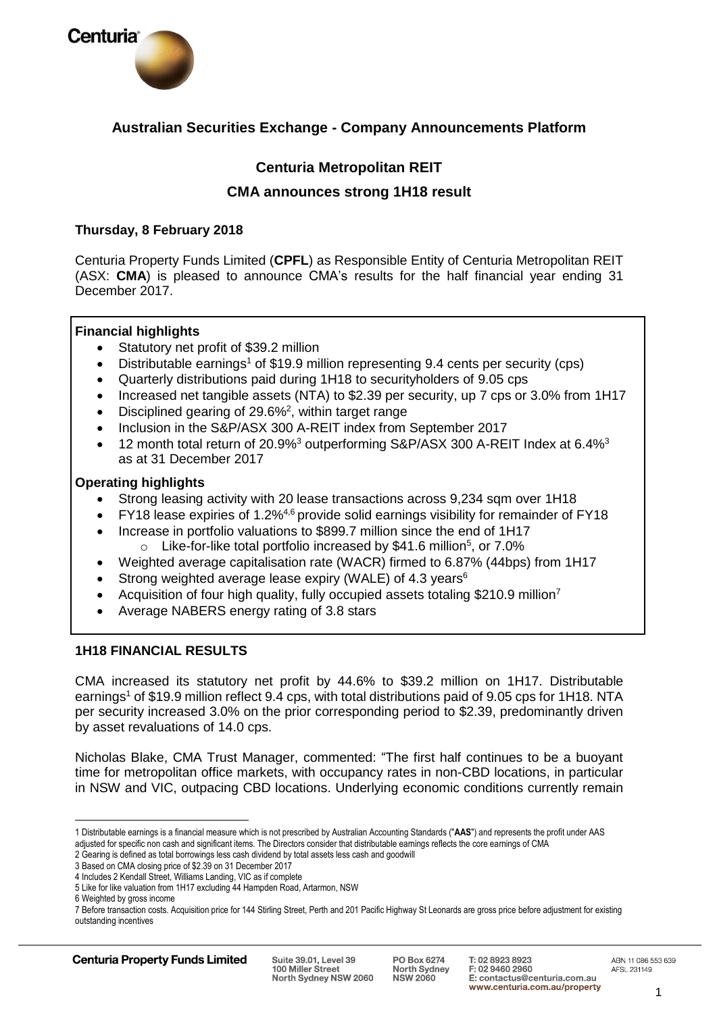

# **Australian Securities Exchange - Company Announcements Platform**

# **Centuria Metropolitan REIT**

# **CMA announces strong 1H18 result**

# **Thursday, 8 February 2018**

Centuria Property Funds Limited (**CPFL**) as Responsible Entity of Centuria Metropolitan REIT (ASX: **CMA**) is pleased to announce CMA's results for the half financial year ending 31 December 2017.

# **Financial highlights**

- Statutory net profit of \$39.2 million
- Distributable earnings<sup>1</sup> of \$19.9 million representing 9.4 cents per security (cps)
- Quarterly distributions paid during 1H18 to securityholders of 9.05 cps
- Increased net tangible assets (NTA) to \$2.39 per security, up 7 cps or 3.0% from 1H17
- Disciplined gearing of  $29.6\%^2$ , within target range
- Inclusion in the S&P/ASX 300 A-REIT index from September 2017
- 12 month total return of 20.9%<sup>3</sup> outperforming S&P/ASX 300 A-REIT Index at 6.4%<sup>3</sup> as at 31 December 2017

# **Operating highlights**

- Strong leasing activity with 20 lease transactions across 9,234 sqm over 1H18
- FY18 lease expiries of 1.2%4,6 provide solid earnings visibility for remainder of FY18
- Increase in portfolio valuations to \$899.7 million since the end of 1H17  $\circ$  Like-for-like total portfolio increased by \$41.6 million<sup>5</sup>, or 7.0%
- Weighted average capitalisation rate (WACR) firmed to 6.87% (44bps) from 1H17
- Strong weighted average lease expiry (WALE) of 4.3 years<sup>6</sup>
- Acquisition of four high quality, fully occupied assets totaling \$210.9 million<sup>7</sup>
- Average NABERS energy rating of 3.8 stars

# **1H18 FINANCIAL RESULTS**

CMA increased its statutory net profit by 44.6% to \$39.2 million on 1H17. Distributable earnings<sup>1</sup> of \$19.9 million reflect 9.4 cps, with total distributions paid of 9.05 cps for 1H18. NTA per security increased 3.0% on the prior corresponding period to \$2.39, predominantly driven by asset revaluations of 14.0 cps.

Nicholas Blake, CMA Trust Manager, commented: "The first half continues to be a buoyant time for metropolitan office markets, with occupancy rates in non-CBD locations, in particular in NSW and VIC, outpacing CBD locations. Underlying economic conditions currently remain

 $\overline{a}$ 1 Distributable earnings is a financial measure which is not prescribed by Australian Accounting Standards ("**AAS**") and represents the profit under AAS adjusted for specific non cash and significant items. The Directors consider that distributable earnings reflects the core earnings of CMA

<sup>2</sup> Gearing is defined as total borrowings less cash dividend by total assets less cash and goodwill

<sup>3</sup> Based on CMA closing price of \$2.39 on 31 December 2017

<sup>4</sup> Includes 2 Kendall Street, Williams Landing, VIC as if complete

<sup>5</sup> Like for like valuation from 1H17 excluding 44 Hampden Road, Artarmon, NSW

<sup>6</sup> Weighted by gross income

<sup>7</sup> Before transaction costs. Acquisition price for 144 Stirling Street, Perth and 201 Pacific Highway St Leonards are gross price before adjustment for existing outstanding incentives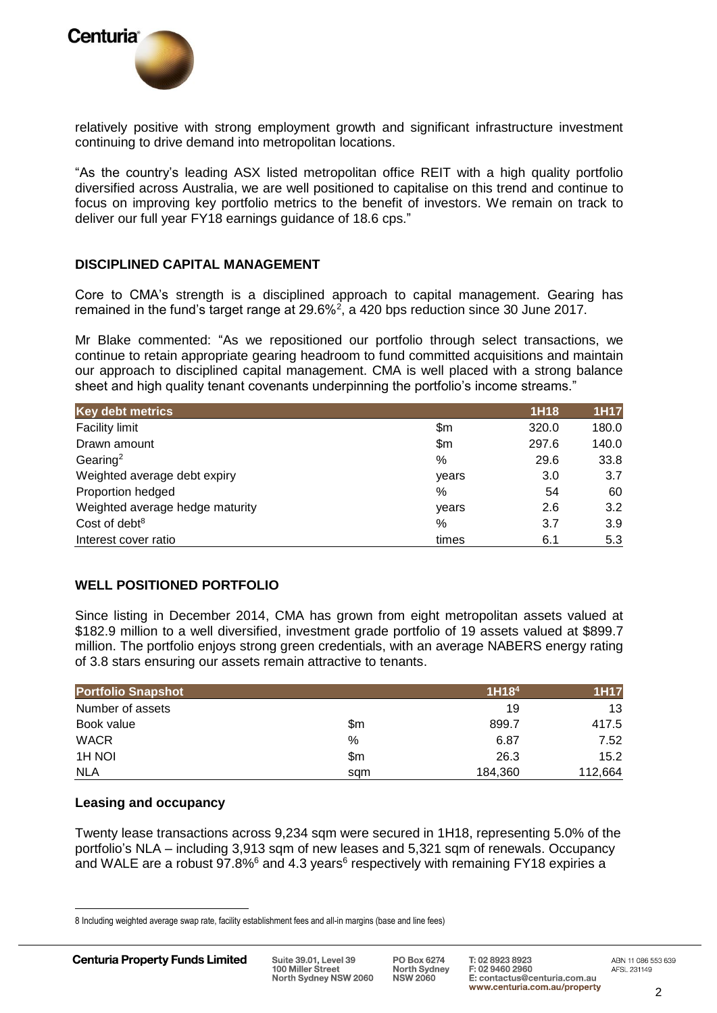

relatively positive with strong employment growth and significant infrastructure investment continuing to drive demand into metropolitan locations.

"As the country's leading ASX listed metropolitan office REIT with a high quality portfolio diversified across Australia, we are well positioned to capitalise on this trend and continue to focus on improving key portfolio metrics to the benefit of investors. We remain on track to deliver our full year FY18 earnings guidance of 18.6 cps."

# **DISCIPLINED CAPITAL MANAGEMENT**

Core to CMA's strength is a disciplined approach to capital management. Gearing has remained in the fund's target range at 29.6%<sup>2</sup>, a 420 bps reduction since 30 June 2017.

Mr Blake commented: "As we repositioned our portfolio through select transactions, we continue to retain appropriate gearing headroom to fund committed acquisitions and maintain our approach to disciplined capital management. CMA is well placed with a strong balance sheet and high quality tenant covenants underpinning the portfolio's income streams."

| <b>Key debt metrics</b>         |       | 1H18  | <b>1H17</b> |
|---------------------------------|-------|-------|-------------|
| Facility limit                  | \$m   | 320.0 | 180.0       |
| Drawn amount                    | \$m   | 297.6 | 140.0       |
| Gearing <sup>2</sup>            | %     | 29.6  | 33.8        |
| Weighted average debt expiry    | years | 3.0   | 3.7         |
| Proportion hedged               | %     | 54    | 60          |
| Weighted average hedge maturity | years | 2.6   | 3.2         |
| Cost of debt <sup>8</sup>       | %     | 3.7   | 3.9         |
| Interest cover ratio            | times | 6.1   | 5.3         |

# **WELL POSITIONED PORTFOLIO**

Since listing in December 2014, CMA has grown from eight metropolitan assets valued at \$182.9 million to a well diversified, investment grade portfolio of 19 assets valued at \$899.7 million. The portfolio enjoys strong green credentials, with an average NABERS energy rating of 3.8 stars ensuring our assets remain attractive to tenants.

| <b>Portfolio Snapshot</b> |     | 1H18 <sup>4</sup> | <b>1H17</b> |
|---------------------------|-----|-------------------|-------------|
| Number of assets          |     | 19                | 13          |
| Book value                | \$m | 899.7             | 417.5       |
| <b>WACR</b>               | %   | 6.87              | 7.52        |
| 1H NOI                    | \$m | 26.3              | 15.2        |
| <b>NLA</b>                | sam | 184,360           | 112,664     |

#### **Leasing and occupancy**

Twenty lease transactions across 9,234 sqm were secured in 1H18, representing 5.0% of the portfolio's NLA – including 3,913 sqm of new leases and 5,321 sqm of renewals. Occupancy and WALE are a robust  $97.8\%$ <sup>6</sup> and 4.3 years<sup>6</sup> respectively with remaining FY18 expiries a

 $\overline{a}$ 

<sup>8</sup> Including weighted average swap rate, facility establishment fees and all-in margins (base and line fees)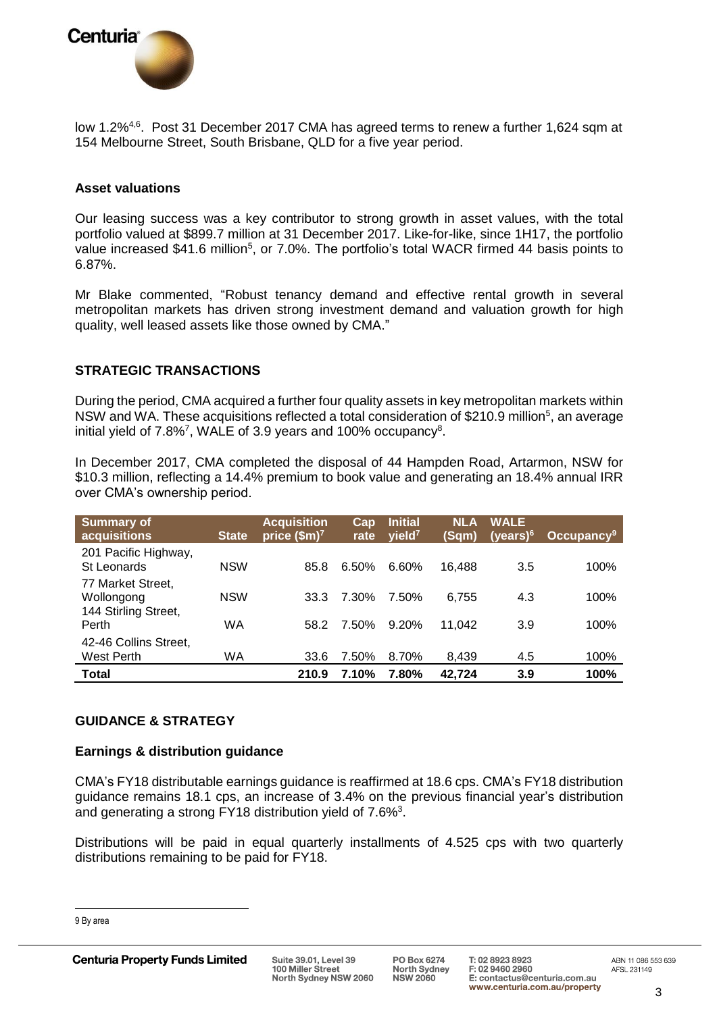

low 1.2%<sup>4,6</sup>. Post 31 December 2017 CMA has agreed terms to renew a further 1,624 sqm at 154 Melbourne Street, South Brisbane, QLD for a five year period.

# **Asset valuations**

Our leasing success was a key contributor to strong growth in asset values, with the total portfolio valued at \$899.7 million at 31 December 2017. Like-for-like, since 1H17, the portfolio value increased \$41.6 million<sup>5</sup>, or 7.0%. The portfolio's total WACR firmed 44 basis points to 6.87%.

Mr Blake commented, "Robust tenancy demand and effective rental growth in several metropolitan markets has driven strong investment demand and valuation growth for high quality, well leased assets like those owned by CMA."

# **STRATEGIC TRANSACTIONS**

During the period, CMA acquired a further four quality assets in key metropolitan markets within NSW and WA. These acquisitions reflected a total consideration of \$210.9 million<sup>5</sup>, an average initial yield of 7.8%<sup>7</sup>, WALE of 3.9 years and 100% occupancy<sup>8</sup>.

In December 2017, CMA completed the disposal of 44 Hampden Road, Artarmon, NSW for \$10.3 million, reflecting a 14.4% premium to book value and generating an 18.4% annual IRR over CMA's ownership period.

| <b>Summary of</b><br>acquisitions   | <b>State</b> | <b>Acquisition</b><br>price $$m$ <sup>7</sup> | Cap<br>rate | <b>Initial</b><br>yield <sup>7</sup> | <b>NLA</b><br>(Sam) | <b>WALE</b><br>(years) $6$ | Occupancy <sup>9</sup> |
|-------------------------------------|--------------|-----------------------------------------------|-------------|--------------------------------------|---------------------|----------------------------|------------------------|
| 201 Pacific Highway,<br>St Leonards | <b>NSW</b>   | 85.8                                          | 6.50%       | 6.60%                                | 16.488              | 3.5                        | 100%                   |
| 77 Market Street,<br>Wollongong     | <b>NSW</b>   | 33.3                                          | 7.30%       | 7.50%                                | 6.755               | 4.3                        | 100%                   |
| 144 Stirling Street,<br>Perth       | WA           | 58.2                                          | 7.50%       | $9.20\%$                             | 11.042              | 3.9                        | 100%                   |
| 42-46 Collins Street,<br>West Perth | WA           | 33.6                                          | 7.50%       | 8.70%                                | 8,439               | 4.5                        | 100%                   |
| <b>Total</b>                        |              | 210.9                                         | 7.10%       | 7.80%                                | 42.724              | 3.9                        | 100%                   |

# **GUIDANCE & STRATEGY**

### **Earnings & distribution guidance**

CMA's FY18 distributable earnings guidance is reaffirmed at 18.6 cps. CMA's FY18 distribution guidance remains 18.1 cps, an increase of 3.4% on the previous financial year's distribution and generating a strong FY18 distribution yield of  $7.6\%$ <sup>3</sup>.

Distributions will be paid in equal quarterly installments of 4.525 cps with two quarterly distributions remaining to be paid for FY18.

 $\overline{a}$ 

<sup>9</sup> By area